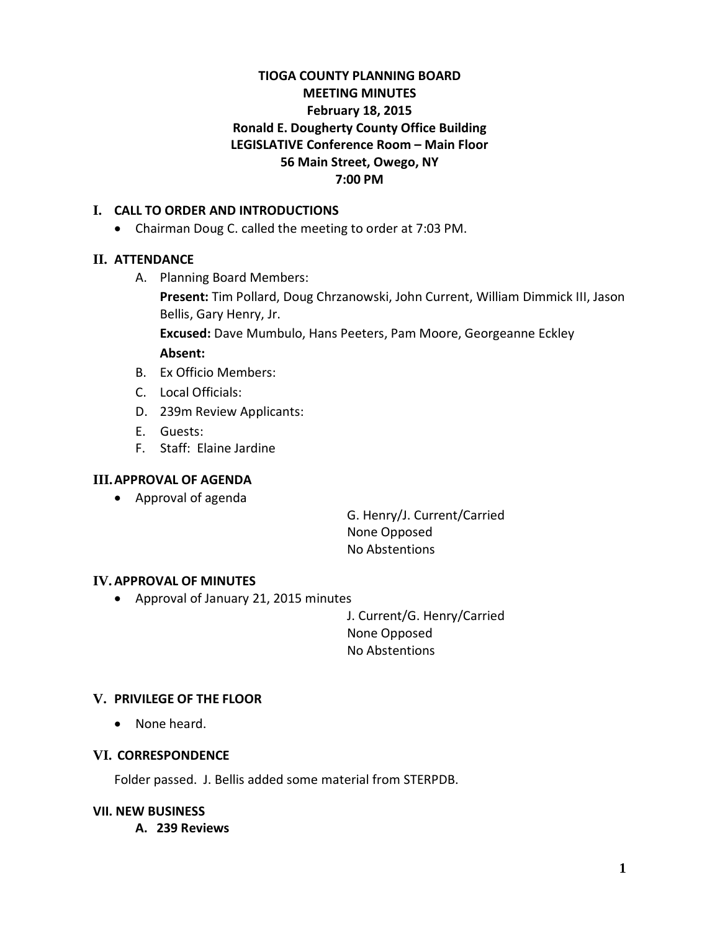# **TIOGA COUNTY PLANNING BOARD MEETING MINUTES February 18, 2015 Ronald E. Dougherty County Office Building LEGISLATIVE Conference Room – Main Floor 56 Main Street, Owego, NY 7:00 PM**

## **I. CALL TO ORDER AND INTRODUCTIONS**

• Chairman Doug C. called the meeting to order at 7:03 PM.

## **II. ATTENDANCE**

A. Planning Board Members:

**Present:** Tim Pollard, Doug Chrzanowski, John Current, William Dimmick III, Jason Bellis, Gary Henry, Jr.

**Excused:** Dave Mumbulo, Hans Peeters, Pam Moore, Georgeanne Eckley **Absent:**

- B. Ex Officio Members:
- C. Local Officials:
- D. 239m Review Applicants:
- E. Guests:
- F. Staff: Elaine Jardine

### **III.APPROVAL OF AGENDA**

• Approval of agenda

G. Henry/J. Current/Carried None Opposed No Abstentions

### **IV.APPROVAL OF MINUTES**

• Approval of January 21, 2015 minutes

J. Current/G. Henry/Carried None Opposed No Abstentions

## **V. PRIVILEGE OF THE FLOOR**

• None heard.

## **VI. CORRESPONDENCE**

Folder passed. J. Bellis added some material from STERPDB.

### **VII. NEW BUSINESS**

**A. 239 Reviews**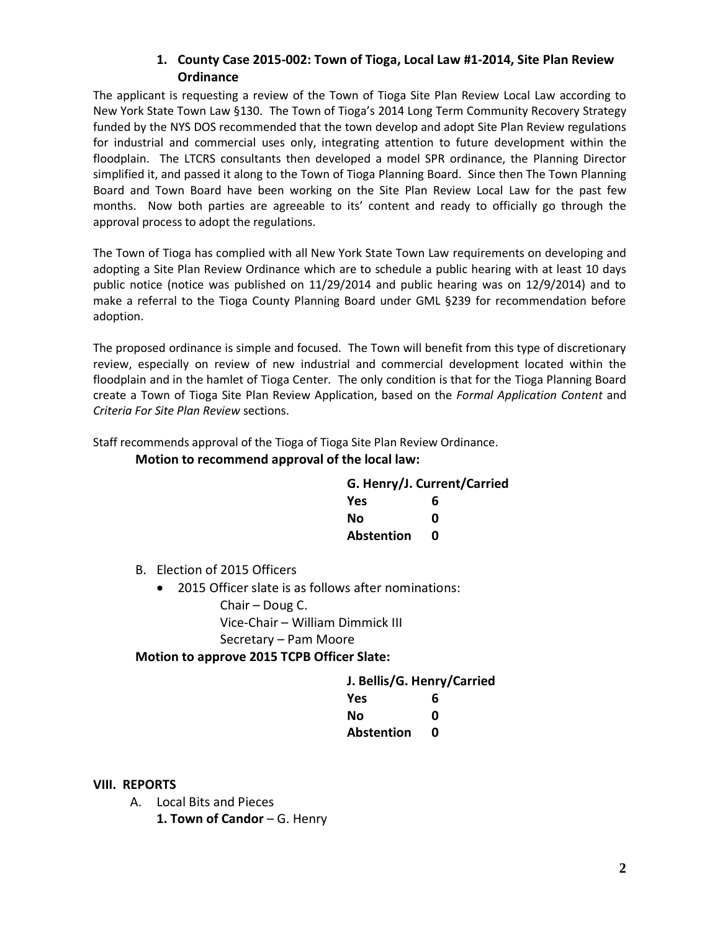## **1. County Case 2015-002: Town of Tioga, Local Law #1-2014, Site Plan Review Ordinance**

The applicant is requesting a review of the Town of Tioga Site Plan Review Local Law according to New York State Town Law §130. The Town of Tioga's 2014 Long Term Community Recovery Strategy funded by the NYS DOS recommended that the town develop and adopt Site Plan Review regulations for industrial and commercial uses only, integrating attention to future development within the floodplain. The LTCRS consultants then developed a model SPR ordinance, the Planning Director simplified it, and passed it along to the Town of Tioga Planning Board. Since then The Town Planning Board and Town Board have been working on the Site Plan Review Local Law for the past few months. Now both parties are agreeable to its' content and ready to officially go through the approval process to adopt the regulations.

The Town of Tioga has complied with all New York State Town Law requirements on developing and adopting a Site Plan Review Ordinance which are to schedule a public hearing with at least 10 days public notice (notice was published on 11/29/2014 and public hearing was on 12/9/2014) and to make a referral to the Tioga County Planning Board under GML §239 for recommendation before adoption.

The proposed ordinance is simple and focused. The Town will benefit from this type of discretionary review, especially on review of new industrial and commercial development located within the floodplain and in the hamlet of Tioga Center. The only condition is that for the Tioga Planning Board create a Town of Tioga Site Plan Review Application, based on the *Formal Application Content* and *Criteria For Site Plan Review* sections.

Staff recommends approval of the Tioga of Tioga Site Plan Review Ordinance.

#### **Motion to recommend approval of the local law:**

| G. Henry/J. Current/Carried |   |
|-----------------------------|---|
| Yes                         | 6 |
| Nο                          | ი |
| <b>Abstention</b>           | n |

B. Election of 2015 Officers

• 2015 Officer slate is as follows after nominations: Chair – Doug C. Vice-Chair – William Dimmick III

Secretary – Pam Moore

### **Motion to approve 2015 TCPB Officer Slate:**

| J. Bellis/G. Henry/Carried |   |
|----------------------------|---|
| Yes                        | 6 |
| Nο                         | n |
| <b>Abstention</b>          | n |

### **VIII. REPORTS**

A. Local Bits and Pieces

**1. Town of Candor** – G. Henry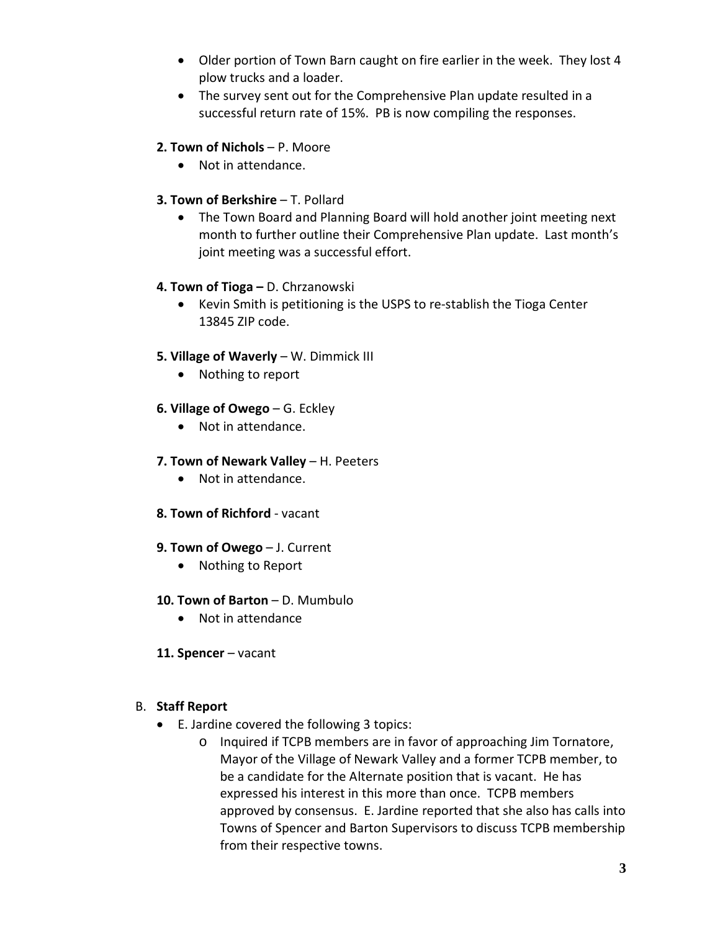- Older portion of Town Barn caught on fire earlier in the week. They lost 4 plow trucks and a loader.
- The survey sent out for the Comprehensive Plan update resulted in a successful return rate of 15%. PB is now compiling the responses.

## **2. Town of Nichols** – P. Moore

• Not in attendance.

## **3. Town of Berkshire - T. Pollard**

• The Town Board and Planning Board will hold another joint meeting next month to further outline their Comprehensive Plan update. Last month's joint meeting was a successful effort.

## **4. Town of Tioga –** D. Chrzanowski

• Kevin Smith is petitioning is the USPS to re-stablish the Tioga Center 13845 ZIP code.

### **5. Village of Waverly** – W. Dimmick III

• Nothing to report

### **6. Village of Owego** – G. Eckley

• Not in attendance.

## **7. Town of Newark Valley** – H. Peeters

- Not in attendance.
- **8. Town of Richford** vacant

### **9. Town of Owego** – J. Current

• Nothing to Report

# **10. Town of Barton** – D. Mumbulo

- Not in attendance
- **11. Spencer** vacant

### B. **Staff Report**

- E. Jardine covered the following 3 topics:
	- o Inquired if TCPB members are in favor of approaching Jim Tornatore, Mayor of the Village of Newark Valley and a former TCPB member, to be a candidate for the Alternate position that is vacant. He has expressed his interest in this more than once. TCPB members approved by consensus. E. Jardine reported that she also has calls into Towns of Spencer and Barton Supervisors to discuss TCPB membership from their respective towns.